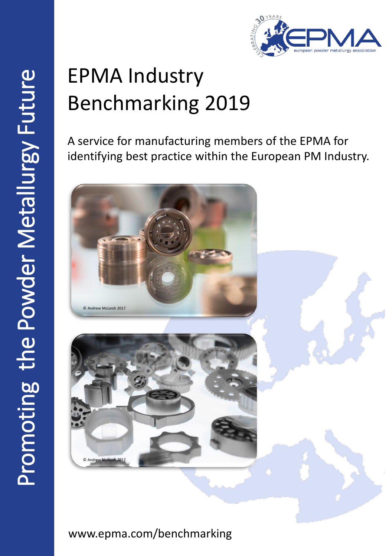

# EPMA Industry Benchmarking 2019

A service for manufacturing members of the EPMA for identifying best practice within the European PM Industry.



www.epma.com/benchmarking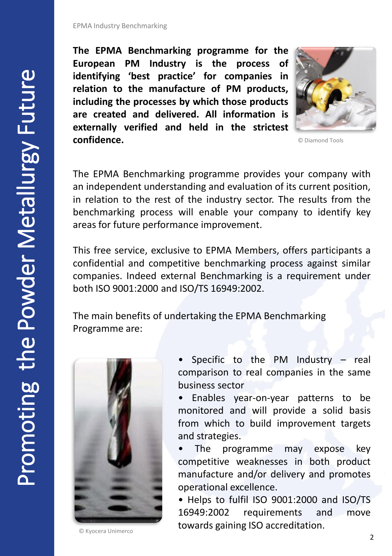**The EPMA Benchmarking programme for the European PM Industry is the process of identifying 'best practice' for companies in relation to the manufacture of PM products, including the processes by which those products are created and delivered. All information is externally verified and held in the strictest confidence.**



© Diamond Tools

The EPMA Benchmarking programme provides your company with an independent understanding and evaluation of its current position, in relation to the rest of the industry sector. The results from the benchmarking process will enable your company to identify key areas for future performance improvement.

This free service, exclusive to EPMA Members, offers participants a confidential and competitive benchmarking process against similar companies. Indeed external Benchmarking is a requirement under both ISO 9001:2000 and ISO/TS 16949:2002.

The main benefits of undertaking the EPMA Benchmarking Programme are:



© Kyocera Unimerco

Specific to the PM Industry  $-$  real comparison to real companies in the same business sector

• Enables year-on-year patterns to be monitored and will provide a solid basis from which to build improvement targets and strategies.

The programme may expose key competitive weaknesses in both product manufacture and/or delivery and promotes operational excellence.

• Helps to fulfil ISO 9001:2000 and ISO/TS 16949:2002 requirements and move towards gaining ISO accreditation.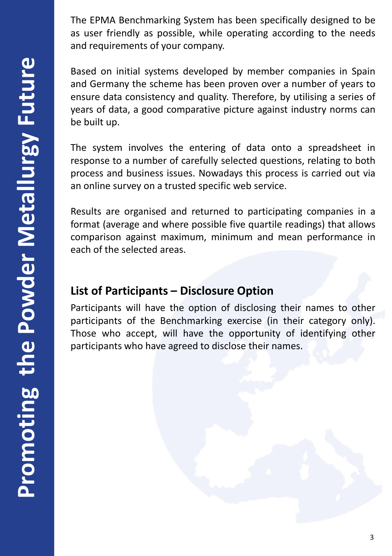The EPMA Benchmarking System has been specifically designed to be as user friendly as possible, while operating according to the needs and requirements of your company.

Based on initial systems developed by member companies in Spain and Germany the scheme has been proven over a number of years to ensure data consistency and quality. Therefore, by utilising a series of years of data, a good comparative picture against industry norms can be built up.

The system involves the entering of data onto a spreadsheet in response to a number of carefully selected questions, relating to both process and business issues. Nowadays this process is carried out via an online survey on a trusted specific web service.

Results are organised and returned to participating companies in a format (average and where possible five quartile readings) that allows comparison against maximum, minimum and mean performance in each of the selected areas.

## **List of Participants – Disclosure Option**

Participants will have the option of disclosing their names to other participants of the Benchmarking exercise (in their category only). Those who accept, will have the opportunity of identifying other participants who have agreed to disclose their names.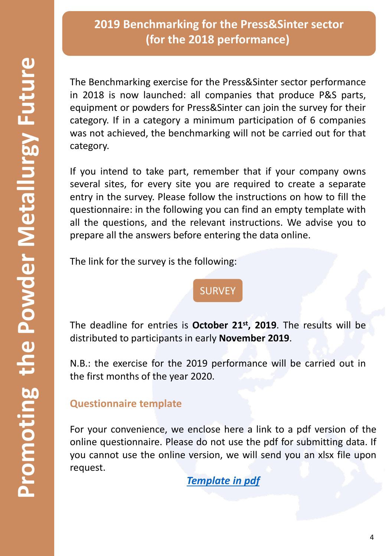## **2019 Benchmarking for the Press&Sinter sector (for the 2018 performance)**

The Benchmarking exercise for the Press&Sinter sector performance in 2018 is now launched: all companies that produce P&S parts, equipment or powders for Press&Sinter can join the survey for their category. If in a category a minimum participation of 6 companies was not achieved, the benchmarking will not be carried out for that category.

If you intend to take part, remember that if your company owns several sites, for every site you are required to create a separate entry in the survey. Please follow the instructions on how to fill the questionnaire: in the following you can find an empty template with all the questions, and the relevant instructions. We advise you to prepare all the answers before entering the data online.

The link for the survey is the following:

## [SURVEY](https://www.surveymonkey.com/r/FDDJ2F3)

The deadline for entries is **October 21st , 2019**. The results will be distributed to participants in early **November 2019**.

N.B.: the exercise for the 2019 performance will be carried out in the first months of the year 2020.

## **Questionnaire template**

For your convenience, we enclose here a link to a pdf version of the online questionnaire. Please do not use the pdf for submitting data. If you cannot use the online version, we will send you an xlsx file upon request.

*[Template in pdf](http://www.epma.com/benchmarking/questionnaire-template)*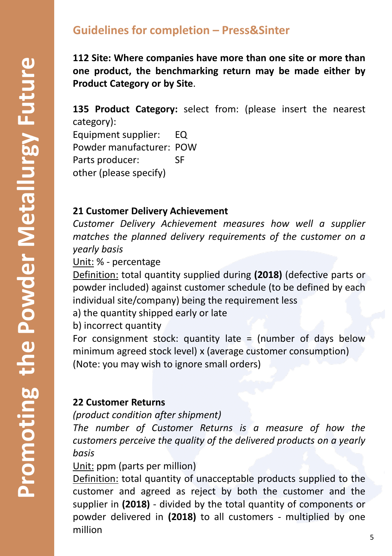## **Guidelines for completion – Press&Sinter**

**112 Site: Where companies have more than one site or more than one product, the benchmarking return may be made either by Product Category or by Site**.

**135 Product Category:** select from: (please insert the nearest category):

Equipment supplier: EQ Powder manufacturer: POW Parts producer: SF other (please specify)

#### **21 Customer Delivery Achievement**

*Customer Delivery Achievement measures how well a supplier matches the planned delivery requirements of the customer on a yearly basis*

Unit: % - percentage

Definition: total quantity supplied during **(2018)** (defective parts or powder included) against customer schedule (to be defined by each individual site/company) being the requirement less

a) the quantity shipped early or late

b) incorrect quantity

For consignment stock: quantity late = (number of days below minimum agreed stock level) x (average customer consumption) (Note: you may wish to ignore small orders)

#### **22 Customer Returns**

*(product condition after shipment)*

*The number of Customer Returns is a measure of how the customers perceive the quality of the delivered products on a yearly basis*

Unit: ppm (parts per million)

Definition: total quantity of unacceptable products supplied to the customer and agreed as reject by both the customer and the supplier in **(2018)** - divided by the total quantity of components or powder delivered in **(2018)** to all customers - multiplied by one million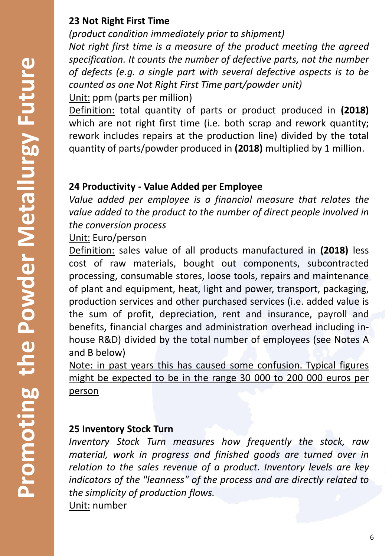*(product condition immediately prior to shipment) Not right first time is a measure of the product meeting the agreed specification. It counts the number of defective parts, not the number of defects (e.g. a single part with several defective aspects is to be counted as one Not Right First Time part/powder unit)* Unit: ppm (parts per million)

Definition: total quantity of parts or product produced in **(2018)** which are not right first time (i.e. both scrap and rework quantity; rework includes repairs at the production line) divided by the total quantity of parts/powder produced in **(2018)** multiplied by 1 million.

## **24 Productivity - Value Added per Employee**

*Value added per employee is a financial measure that relates the value added to the product to the number of direct people involved in the conversion process*

Unit: Euro/person

Definition: sales value of all products manufactured in **(2018)** less cost of raw materials, bought out components, subcontracted processing, consumable stores, loose tools, repairs and maintenance of plant and equipment, heat, light and power, transport, packaging, production services and other purchased services (i.e. added value is the sum of profit, depreciation, rent and insurance, payroll and benefits, financial charges and administration overhead including inhouse R&D) divided by the total number of employees (see Notes A and B below)

Note: in past years this has caused some confusion. Typical figures might be expected to be in the range 30 000 to 200 000 euros per person

## **25 Inventory Stock Turn**

*Inventory Stock Turn measures how frequently the stock, raw material, work in progress and finished goods are turned over in relation to the sales revenue of a product. Inventory levels are key indicators of the "leanness" of the process and are directly related to the simplicity of production flows.* Unit: number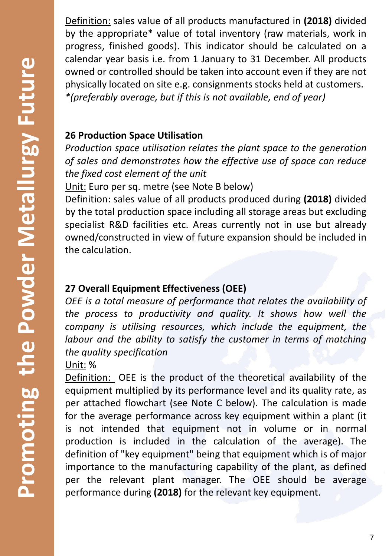Definition: sales value of all products manufactured in **(2018)** divided by the appropriate\* value of total inventory (raw materials, work in progress, finished goods). This indicator should be calculated on a calendar year basis i.e. from 1 January to 31 December. All products owned or controlled should be taken into account even if they are not physically located on site e.g. consignments stocks held at customers. *\*(preferably average, but if this is not available, end of year)*

#### **26 Production Space Utilisation**

*Production space utilisation relates the plant space to the generation of sales and demonstrates how the effective use of space can reduce the fixed cost element of the unit*

Unit: Euro per sq. metre (see Note B below)

Definition: sales value of all products produced during **(2018)** divided by the total production space including all storage areas but excluding specialist R&D facilities etc. Areas currently not in use but already owned/constructed in view of future expansion should be included in the calculation.

#### **27 Overall Equipment Effectiveness (OEE)**

*OEE is a total measure of performance that relates the availability of the process to productivity and quality. It shows how well the company is utilising resources, which include the equipment, the labour and the ability to satisfy the customer in terms of matching the quality specification*

Unit: %

Definition: OEE is the product of the theoretical availability of the equipment multiplied by its performance level and its quality rate, as per attached flowchart (see Note C below). The calculation is made for the average performance across key equipment within a plant (it is not intended that equipment not in volume or in normal production is included in the calculation of the average). The definition of "key equipment" being that equipment which is of major importance to the manufacturing capability of the plant, as defined per the relevant plant manager. The OEE should be average performance during **(2018)** for the relevant key equipment.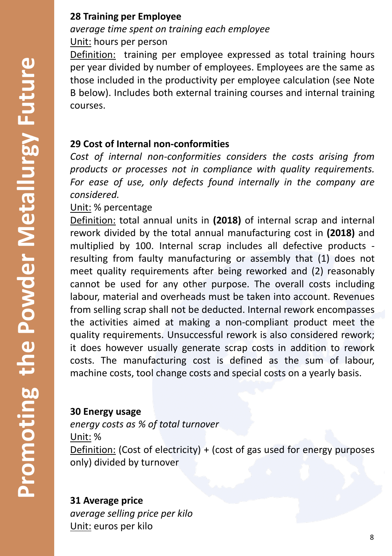#### **28 Training per Employee**

#### *average time spent on training each employee* Unit: hours per person

Definition: training per employee expressed as total training hours per year divided by number of employees. Employees are the same as those included in the productivity per employee calculation (see Note B below). Includes both external training courses and internal training courses.

#### **29 Cost of Internal non-conformities**

*Cost of internal non-conformities considers the costs arising from products or processes not in compliance with quality requirements. For ease of use, only defects found internally in the company are considered.*

#### Unit: % percentage

Definition: total annual units in **(2018)** of internal scrap and internal rework divided by the total annual manufacturing cost in **(2018)** and multiplied by 100. Internal scrap includes all defective products resulting from faulty manufacturing or assembly that (1) does not meet quality requirements after being reworked and (2) reasonably cannot be used for any other purpose. The overall costs including labour, material and overheads must be taken into account. Revenues from selling scrap shall not be deducted. Internal rework encompasses the activities aimed at making a non-compliant product meet the quality requirements. Unsuccessful rework is also considered rework; it does however usually generate scrap costs in addition to rework costs. The manufacturing cost is defined as the sum of labour, machine costs, tool change costs and special costs on a yearly basis.

#### **30 Energy usage**

*energy costs as % of total turnover* Unit: % Definition: (Cost of electricity) + (cost of gas used for energy purposes only) divided by turnover

#### **31 Average price**

*average selling price per kilo* Unit: euros per kilo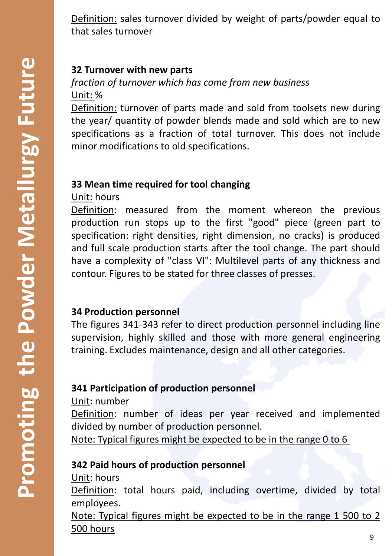Definition: sales turnover divided by weight of parts/powder equal to that sales turnover

#### **32 Turnover with new parts**

*fraction of turnover which has come from new business* Unit: %

Definition: turnover of parts made and sold from toolsets new during the year/ quantity of powder blends made and sold which are to new specifications as a fraction of total turnover. This does not include minor modifications to old specifications.

#### **33 Mean time required for tool changing**

Unit: hours

Definition: measured from the moment whereon the previous production run stops up to the first "good" piece (green part to specification: right densities, right dimension, no cracks) is produced and full scale production starts after the tool change. The part should have a complexity of "class VI": Multilevel parts of any thickness and contour. Figures to be stated for three classes of presses.

#### **34 Production personnel**

The figures 341-343 refer to direct production personnel including line supervision, highly skilled and those with more general engineering training. Excludes maintenance, design and all other categories.

## **341 Participation of production personnel**

Unit: number

Definition: number of ideas per year received and implemented divided by number of production personnel.

Note: Typical figures might be expected to be in the range 0 to 6

#### **342 Paid hours of production personnel**

Unit: hours

Definition: total hours paid, including overtime, divided by total employees.

Note: Typical figures might be expected to be in the range 1 500 to 2 500 hours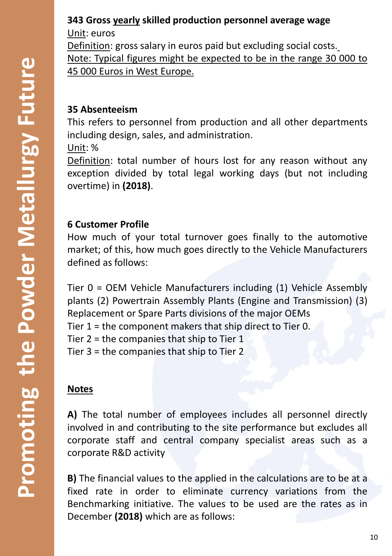## **343 Gross yearly skilled production personnel average wage**

Unit: euros

Definition: gross salary in euros paid but excluding social costs. Note: Typical figures might be expected to be in the range 30 000 to

45 000 Euros in West Europe.

## **35 Absenteeism**

This refers to personnel from production and all other departments including design, sales, and administration.

Unit: %

Definition: total number of hours lost for any reason without any exception divided by total legal working days (but not including overtime) in **(2018)**.

## **6 Customer Profile**

How much of your total turnover goes finally to the automotive market; of this, how much goes directly to the Vehicle Manufacturers defined as follows:

Tier 0 = OEM Vehicle Manufacturers including (1) Vehicle Assembly plants (2) Powertrain Assembly Plants (Engine and Transmission) (3) Replacement or Spare Parts divisions of the major OEMs

Tier 1 = the component makers that ship direct to Tier 0.

Tier 2 = the companies that ship to Tier 1

Tier 3 = the companies that ship to Tier 2

## **Notes**

**A)** The total number of employees includes all personnel directly involved in and contributing to the site performance but excludes all corporate staff and central company specialist areas such as a corporate R&D activity

**B)** The financial values to the applied in the calculations are to be at a fixed rate in order to eliminate currency variations from the Benchmarking initiative. The values to be used are the rates as in December **(2018)** which are as follows: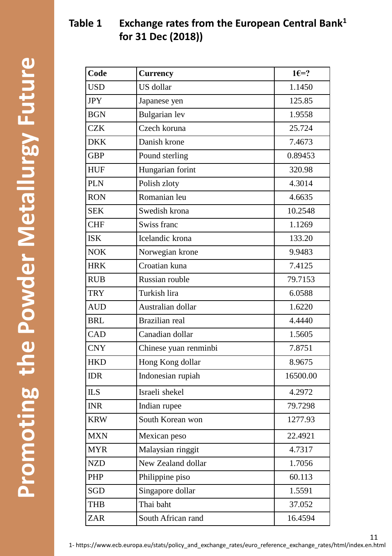## **Table 1 Exchange rates from the European Central Bank<sup>1</sup> for 31 Dec (2018))**

| Code       | <b>Currency</b>       | $1\varepsilon$ =? |
|------------|-----------------------|-------------------|
| <b>USD</b> | US dollar             | 1.1450            |
| <b>JPY</b> | Japanese yen          | 125.85            |
| <b>BGN</b> | Bulgarian lev         | 1.9558            |
| <b>CZK</b> | Czech koruna          | 25.724            |
| <b>DKK</b> | Danish krone          | 7.4673            |
| <b>GBP</b> | Pound sterling        | 0.89453           |
| <b>HUF</b> | Hungarian forint      | 320.98            |
| <b>PLN</b> | Polish zloty          | 4.3014            |
| <b>RON</b> | Romanian leu          | 4.6635            |
| <b>SEK</b> | Swedish krona         | 10.2548           |
| <b>CHF</b> | Swiss franc           | 1.1269            |
| <b>ISK</b> | Icelandic krona       | 133.20            |
| <b>NOK</b> | Norwegian krone       | 9.9483            |
| <b>HRK</b> | Croatian kuna         | 7.4125            |
| <b>RUB</b> | Russian rouble        | 79.7153           |
| <b>TRY</b> | Turkish lira          | 6.0588            |
| <b>AUD</b> | Australian dollar     | 1.6220            |
| <b>BRL</b> | Brazilian real        | 4.4440            |
| CAD        | Canadian dollar       | 1.5605            |
| <b>CNY</b> | Chinese yuan renminbi | 7.8751            |
| <b>HKD</b> | Hong Kong dollar      | 8.9675            |
| <b>IDR</b> | Indonesian rupiah     | 16500.00          |
| <b>ILS</b> | Israeli shekel        | 4.2972            |
| <b>INR</b> | Indian rupee          | 79.7298           |
| <b>KRW</b> | South Korean won      | 1277.93           |
| <b>MXN</b> | Mexican peso          | 22.4921           |
| <b>MYR</b> | Malaysian ringgit     | 4.7317            |
| <b>NZD</b> | New Zealand dollar    | 1.7056            |
| PHP        | Philippine piso       | 60.113            |
| SGD        | Singapore dollar      | 1.5591            |
| <b>THB</b> | Thai baht             | 37.052            |
| <b>ZAR</b> | South African rand    | 16.4594           |